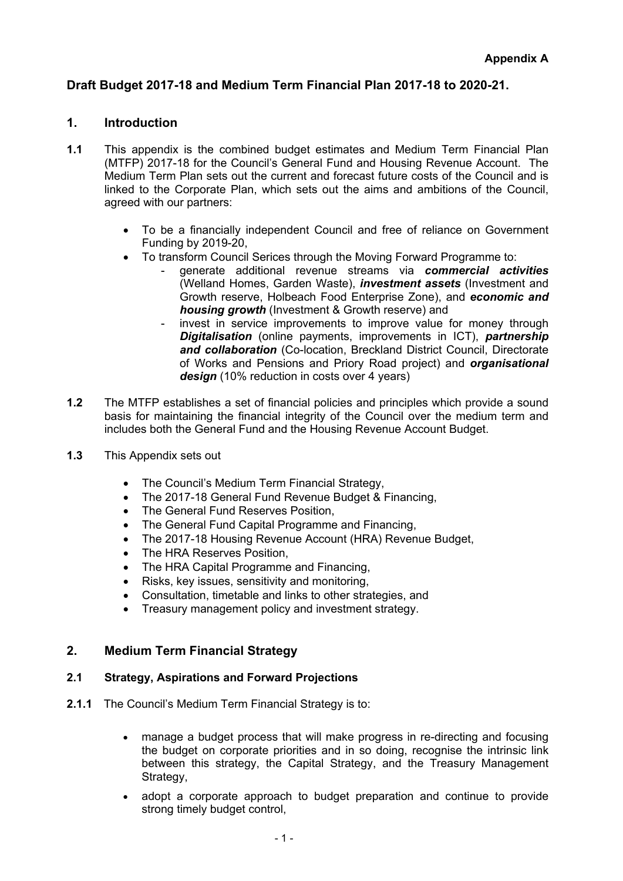# **Draft Budget 2017-18 and Medium Term Financial Plan 2017-18 to 2020-21.**

## **1. Introduction**

- **1.1** This appendix is the combined budget estimates and Medium Term Financial Plan (MTFP) 2017-18 for the Council's General Fund and Housing Revenue Account. The Medium Term Plan sets out the current and forecast future costs of the Council and is linked to the Corporate Plan, which sets out the aims and ambitions of the Council, agreed with our partners:
	- To be a financially independent Council and free of reliance on Government Funding by 2019-20,
	- To transform Council Serices through the Moving Forward Programme to:
		- generate additional revenue streams via *commercial activities* (Welland Homes, Garden Waste), *investment assets* (Investment and Growth reserve, Holbeach Food Enterprise Zone), and *economic and housing growth* (Investment & Growth reserve) and
		- invest in service improvements to improve value for money through *Digitalisation* (online payments, improvements in ICT), *partnership and collaboration* (Co-location, Breckland District Council, Directorate of Works and Pensions and Priory Road project) and *organisational design* (10% reduction in costs over 4 years)
- **1.2** The MTFP establishes a set of financial policies and principles which provide a sound basis for maintaining the financial integrity of the Council over the medium term and includes both the General Fund and the Housing Revenue Account Budget.
- **1.3** This Appendix sets out
	- The Council's Medium Term Financial Strategy,
	- The 2017-18 General Fund Revenue Budget & Financing,
	- The General Fund Reserves Position.
	- The General Fund Capital Programme and Financing.
	- The 2017-18 Housing Revenue Account (HRA) Revenue Budget,
	- The HRA Reserves Position,
	- The HRA Capital Programme and Financing,
	- Risks, key issues, sensitivity and monitoring,
	- Consultation, timetable and links to other strategies, and
	- Treasury management policy and investment strategy.

## **2. Medium Term Financial Strategy**

## **2.1 Strategy, Aspirations and Forward Projections**

- **2.1.1** The Council's Medium Term Financial Strategy is to:
	- manage a budget process that will make progress in re-directing and focusing the budget on corporate priorities and in so doing, recognise the intrinsic link between this strategy, the Capital Strategy, and the Treasury Management Strategy,
	- adopt a corporate approach to budget preparation and continue to provide strong timely budget control,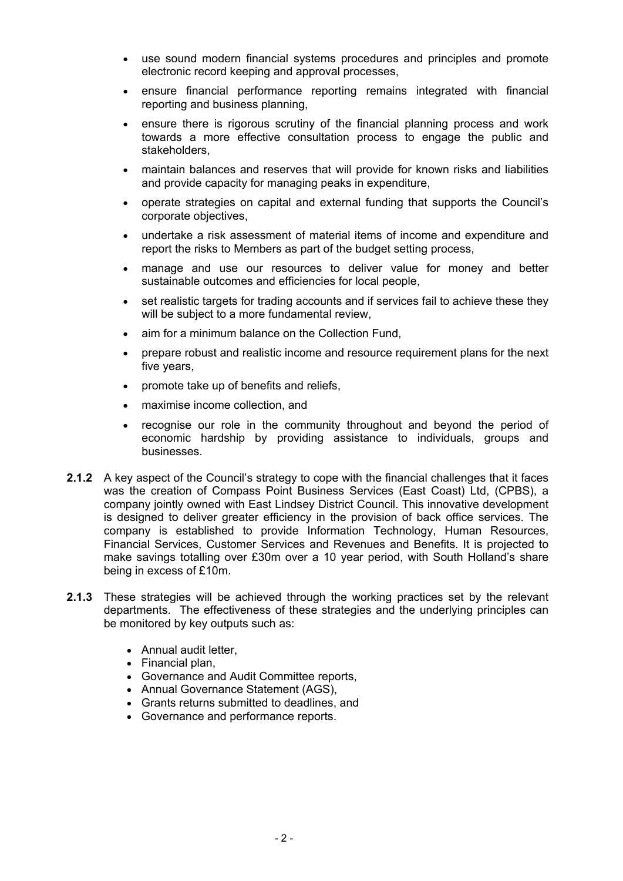- use sound modern financial systems procedures and principles and promote electronic record keeping and approval processes,
- ensure financial performance reporting remains integrated with financial reporting and business planning,
- ensure there is rigorous scrutiny of the financial planning process and work towards a more effective consultation process to engage the public and stakeholders,
- maintain balances and reserves that will provide for known risks and liabilities and provide capacity for managing peaks in expenditure,
- operate strategies on capital and external funding that supports the Council's corporate objectives,
- undertake a risk assessment of material items of income and expenditure and report the risks to Members as part of the budget setting process,
- manage and use our resources to deliver value for money and better sustainable outcomes and efficiencies for local people,
- set realistic targets for trading accounts and if services fail to achieve these they will be subject to a more fundamental review.
- aim for a minimum balance on the Collection Fund,
- prepare robust and realistic income and resource requirement plans for the next five years,
- promote take up of benefits and reliefs,
- maximise income collection, and
- recognise our role in the community throughout and beyond the period of economic hardship by providing assistance to individuals, groups and businesses.
- **2.1.2** A key aspect of the Council's strategy to cope with the financial challenges that it faces was the creation of Compass Point Business Services (East Coast) Ltd, (CPBS), a company jointly owned with East Lindsey District Council. This innovative development is designed to deliver greater efficiency in the provision of back office services. The company is established to provide Information Technology, Human Resources, Financial Services, Customer Services and Revenues and Benefits. It is projected to make savings totalling over £30m over a 10 year period, with South Holland's share being in excess of £10m.
- **2.1.3** These strategies will be achieved through the working practices set by the relevant departments. The effectiveness of these strategies and the underlying principles can be monitored by key outputs such as:
	- Annual audit letter,
	- Financial plan,
	- Governance and Audit Committee reports,
	- Annual Governance Statement (AGS),
	- Grants returns submitted to deadlines, and
	- Governance and performance reports.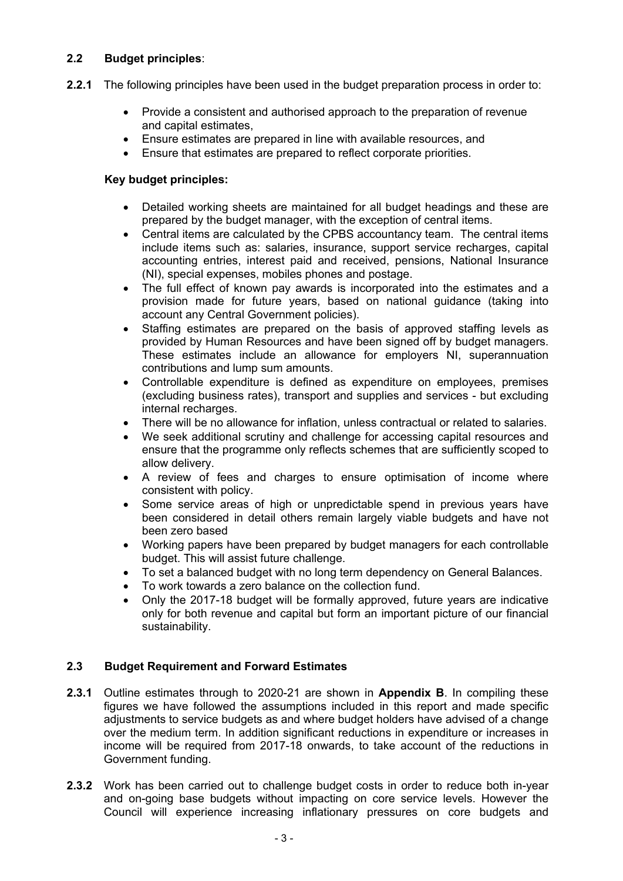## **2.2 Budget principles**:

- **2.2.1** The following principles have been used in the budget preparation process in order to:
	- Provide a consistent and authorised approach to the preparation of revenue and capital estimates,
	- Ensure estimates are prepared in line with available resources, and
	- Ensure that estimates are prepared to reflect corporate priorities.

## **Key budget principles:**

- Detailed working sheets are maintained for all budget headings and these are prepared by the budget manager, with the exception of central items.
- Central items are calculated by the CPBS accountancy team. The central items include items such as: salaries, insurance, support service recharges, capital accounting entries, interest paid and received, pensions, National Insurance (NI), special expenses, mobiles phones and postage.
- The full effect of known pay awards is incorporated into the estimates and a provision made for future years, based on national guidance (taking into account any Central Government policies).
- Staffing estimates are prepared on the basis of approved staffing levels as provided by Human Resources and have been signed off by budget managers. These estimates include an allowance for employers NI, superannuation contributions and lump sum amounts.
- Controllable expenditure is defined as expenditure on employees, premises (excluding business rates), transport and supplies and services - but excluding internal recharges.
- There will be no allowance for inflation, unless contractual or related to salaries.
- We seek additional scrutiny and challenge for accessing capital resources and ensure that the programme only reflects schemes that are sufficiently scoped to allow delivery.
- A review of fees and charges to ensure optimisation of income where consistent with policy.
- Some service areas of high or unpredictable spend in previous years have been considered in detail others remain largely viable budgets and have not been zero based
- Working papers have been prepared by budget managers for each controllable budget. This will assist future challenge.
- To set a balanced budget with no long term dependency on General Balances.
- To work towards a zero balance on the collection fund.
- Only the 2017-18 budget will be formally approved, future years are indicative only for both revenue and capital but form an important picture of our financial sustainability.

## **2.3 Budget Requirement and Forward Estimates**

- **2.3.1** Outline estimates through to 2020-21 are shown in **Appendix B**. In compiling these figures we have followed the assumptions included in this report and made specific adjustments to service budgets as and where budget holders have advised of a change over the medium term. In addition significant reductions in expenditure or increases in income will be required from 2017-18 onwards, to take account of the reductions in Government funding.
- **2.3.2** Work has been carried out to challenge budget costs in order to reduce both in-year and on-going base budgets without impacting on core service levels. However the Council will experience increasing inflationary pressures on core budgets and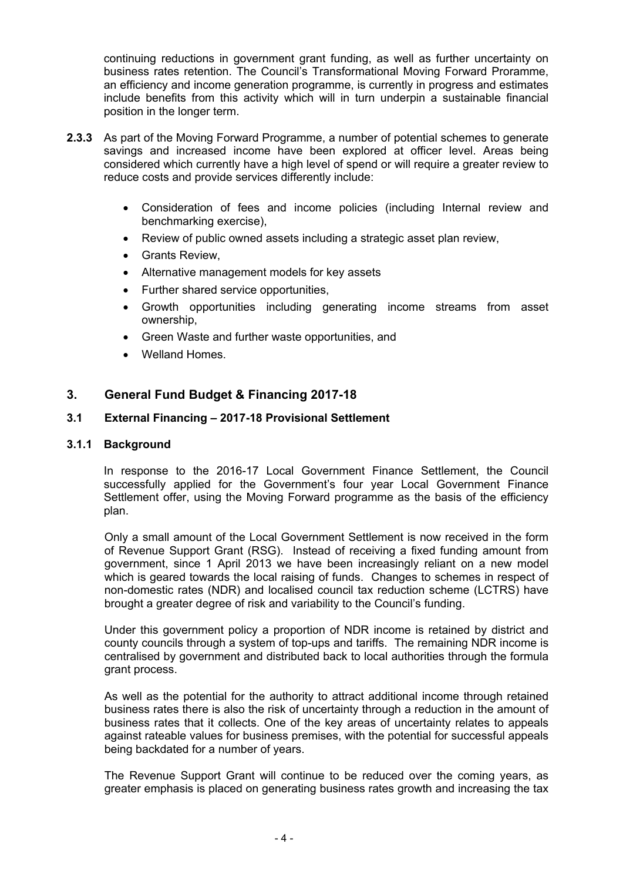continuing reductions in government grant funding, as well as further uncertainty on business rates retention. The Council's Transformational Moving Forward Proramme, an efficiency and income generation programme, is currently in progress and estimates include benefits from this activity which will in turn underpin a sustainable financial position in the longer term.

- **2.3.3** As part of the Moving Forward Programme, a number of potential schemes to generate savings and increased income have been explored at officer level. Areas being considered which currently have a high level of spend or will require a greater review to reduce costs and provide services differently include:
	- Consideration of fees and income policies (including Internal review and benchmarking exercise),
	- Review of public owned assets including a strategic asset plan review,
	- Grants Review.
	- Alternative management models for key assets
	- Further shared service opportunities.
	- Growth opportunities including generating income streams from asset ownership,
	- Green Waste and further waste opportunities, and
	- Welland Homes.

## **3. General Fund Budget & Financing 2017-18**

## **3.1 External Financing – 2017-18 Provisional Settlement**

#### **3.1.1 Background**

In response to the 2016-17 Local Government Finance Settlement, the Council successfully applied for the Government's four year Local Government Finance Settlement offer, using the Moving Forward programme as the basis of the efficiency plan.

Only a small amount of the Local Government Settlement is now received in the form of Revenue Support Grant (RSG). Instead of receiving a fixed funding amount from government, since 1 April 2013 we have been increasingly reliant on a new model which is geared towards the local raising of funds. Changes to schemes in respect of non-domestic rates (NDR) and localised council tax reduction scheme (LCTRS) have brought a greater degree of risk and variability to the Council's funding.

Under this government policy a proportion of NDR income is retained by district and county councils through a system of top-ups and tariffs. The remaining NDR income is centralised by government and distributed back to local authorities through the formula grant process.

As well as the potential for the authority to attract additional income through retained business rates there is also the risk of uncertainty through a reduction in the amount of business rates that it collects. One of the key areas of uncertainty relates to appeals against rateable values for business premises, with the potential for successful appeals being backdated for a number of years.

The Revenue Support Grant will continue to be reduced over the coming years, as greater emphasis is placed on generating business rates growth and increasing the tax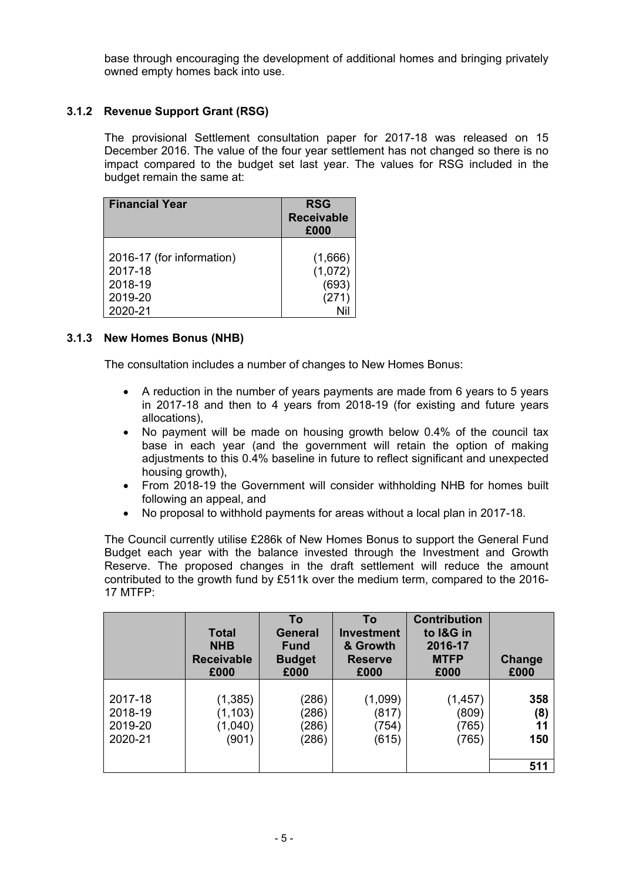base through encouraging the development of additional homes and bringing privately owned empty homes back into use.

## **3.1.2 Revenue Support Grant (RSG)**

The provisional Settlement consultation paper for 2017-18 was released on 15 December 2016. The value of the four year settlement has not changed so there is no impact compared to the budget set last year. The values for RSG included in the budget remain the same at:

| <b>Financial Year</b>     | <b>RSG</b><br><b>Receivable</b><br>£000 |
|---------------------------|-----------------------------------------|
| 2016-17 (for information) | (1,666)                                 |
| 2017-18                   | (1,072)                                 |
| 2018-19                   | (693)                                   |
| 2019-20                   | (271)                                   |
| 2020-21                   | Nil                                     |

## **3.1.3 New Homes Bonus (NHB)**

The consultation includes a number of changes to New Homes Bonus:

- A reduction in the number of years payments are made from 6 years to 5 years in 2017-18 and then to 4 years from 2018-19 (for existing and future years allocations),
- No payment will be made on housing growth below 0.4% of the council tax base in each year (and the government will retain the option of making adjustments to this 0.4% baseline in future to reflect significant and unexpected housing growth),
- From 2018-19 the Government will consider withholding NHB for homes built following an appeal, and
- No proposal to withhold payments for areas without a local plan in 2017-18.

The Council currently utilise £286k of New Homes Bonus to support the General Fund Budget each year with the balance invested through the Investment and Growth Reserve. The proposed changes in the draft settlement will reduce the amount contributed to the growth fund by £511k over the medium term, compared to the 2016- 17 MTFP:

|                                          | <b>Total</b><br><b>NHB</b><br><b>Receivable</b><br>£000 | To<br><b>General</b><br><b>Fund</b><br><b>Budget</b><br>£000 | To<br><b>Investment</b><br>& Growth<br><b>Reserve</b><br>£000 | <b>Contribution</b><br>to I&G in<br>2016-17<br><b>MTFP</b><br>£000 | Change<br>£000                 |
|------------------------------------------|---------------------------------------------------------|--------------------------------------------------------------|---------------------------------------------------------------|--------------------------------------------------------------------|--------------------------------|
| 2017-18<br>2018-19<br>2019-20<br>2020-21 | (1, 385)<br>(1, 103)<br>(1,040)<br>(901)                | (286)<br>(286)<br>(286)<br>(286)                             | (1,099)<br>(817)<br>(754)<br>(615)                            | (1, 457)<br>(809)<br>(765)<br>(765)                                | 358<br>(8)<br>11<br>150<br>511 |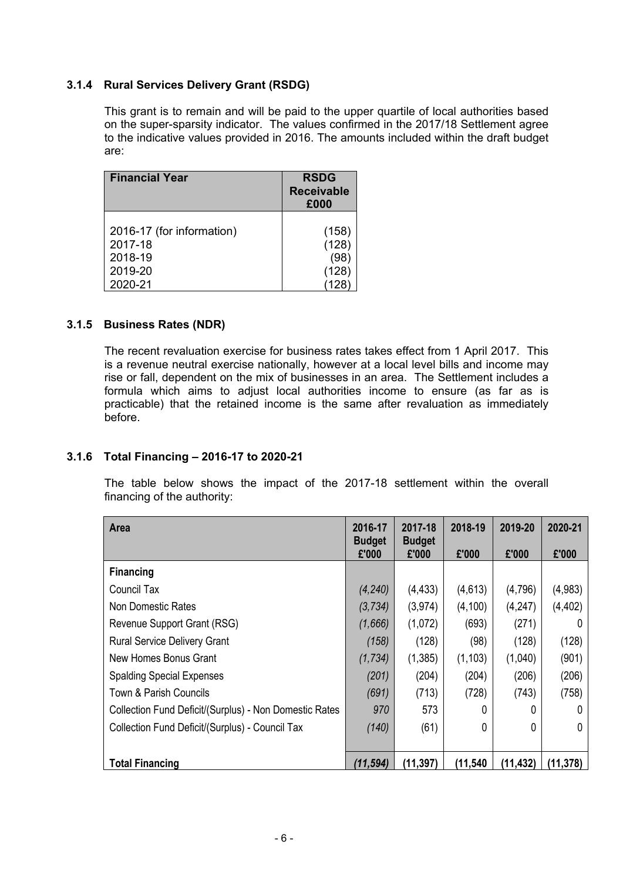## **3.1.4 Rural Services Delivery Grant (RSDG)**

This grant is to remain and will be paid to the upper quartile of local authorities based on the super-sparsity indicator. The values confirmed in the 2017/18 Settlement agree to the indicative values provided in 2016. The amounts included within the draft budget are:

| <b>Financial Year</b>                | <b>RSDG</b><br><b>Receivable</b><br>£000 |
|--------------------------------------|------------------------------------------|
| 2016-17 (for information)<br>2017-18 | (158)<br>(128)                           |
| 2018-19                              | (98                                      |
| 2019-20                              | (128)                                    |
| 2020-21                              |                                          |

## **3.1.5 Business Rates (NDR)**

The recent revaluation exercise for business rates takes effect from 1 April 2017. This is a revenue neutral exercise nationally, however at a local level bills and income may rise or fall, dependent on the mix of businesses in an area. The Settlement includes a formula which aims to adjust local authorities income to ensure (as far as is practicable) that the retained income is the same after revaluation as immediately before.

## **3.1.6 Total Financing – 2016-17 to 2020-21**

The table below shows the impact of the 2017-18 settlement within the overall financing of the authority:

| <b>Area</b>                                            | 2016-17<br><b>Budget</b> | 2017-18<br><b>Budget</b> | 2018-19   | 2019-20   | 2020-21   |
|--------------------------------------------------------|--------------------------|--------------------------|-----------|-----------|-----------|
|                                                        | £'000                    | £'000                    | £'000     | £'000     | £'000     |
| <b>Financing</b>                                       |                          |                          |           |           |           |
| Council Tax                                            | (4, 240)                 | (4, 433)                 | (4,613)   | (4,796)   | (4,983)   |
| Non Domestic Rates                                     | (3, 734)                 | (3, 974)                 | (4, 100)  | (4, 247)  | (4, 402)  |
| Revenue Support Grant (RSG)                            | (1,666)                  | (1,072)                  | (693)     | (271)     |           |
| <b>Rural Service Delivery Grant</b>                    | (158)                    | (128)                    | (98)      | (128)     | (128)     |
| New Homes Bonus Grant                                  | (1, 734)                 | (1,385)                  | (1, 103)  | (1,040)   | (901)     |
| <b>Spalding Special Expenses</b>                       | (201)                    | (204)                    | (204)     | (206)     | (206)     |
| Town & Parish Councils                                 | (691)                    | (713)                    | (728)     | (743)     | (758)     |
| Collection Fund Deficit/(Surplus) - Non Domestic Rates | 970                      | 573                      | 0         | 0         | 0         |
| Collection Fund Deficit/(Surplus) - Council Tax        | (140)                    | (61)                     | 0         | 0         | $\Omega$  |
|                                                        |                          |                          |           |           |           |
| <b>Total Financing</b>                                 | (11, 594)                | (11, 397)                | (11, 540) | (11, 432) | (11, 378) |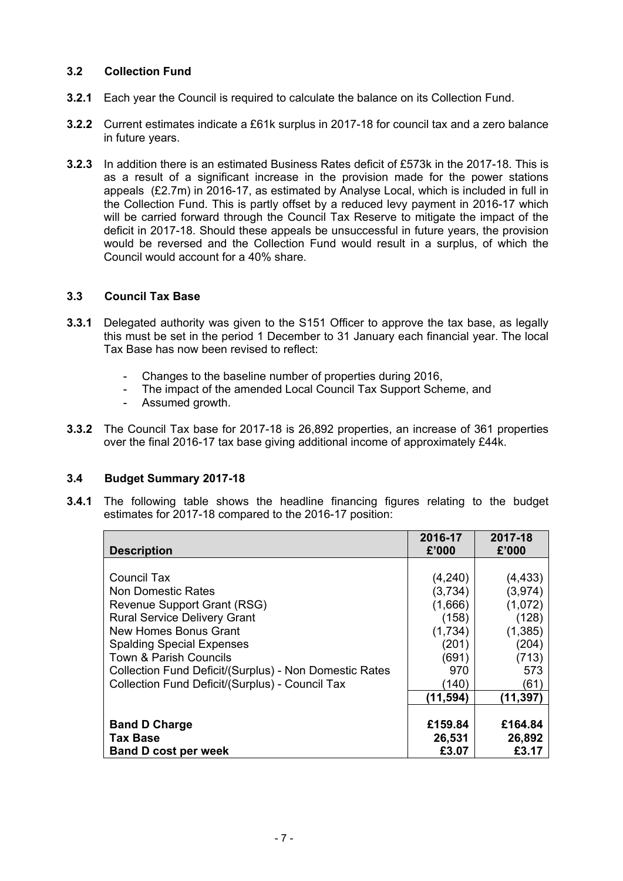## **3.2 Collection Fund**

- **3.2.1** Each year the Council is required to calculate the balance on its Collection Fund.
- **3.2.2** Current estimates indicate a £61k surplus in 2017-18 for council tax and a zero balance in future years.
- **3.2.3** In addition there is an estimated Business Rates deficit of £573k in the 2017-18. This is as a result of a significant increase in the provision made for the power stations appeals (£2.7m) in 2016-17, as estimated by Analyse Local, which is included in full in the Collection Fund. This is partly offset by a reduced levy payment in 2016-17 which will be carried forward through the Council Tax Reserve to mitigate the impact of the deficit in 2017-18. Should these appeals be unsuccessful in future years, the provision would be reversed and the Collection Fund would result in a surplus, of which the Council would account for a 40% share.

## **3.3 Council Tax Base**

- **3.3.1** Delegated authority was given to the S151 Officer to approve the tax base, as legally this must be set in the period 1 December to 31 January each financial year. The local Tax Base has now been revised to reflect:
	- Changes to the baseline number of properties during 2016,
	- The impact of the amended Local Council Tax Support Scheme, and
	- Assumed growth.
- **3.3.2** The Council Tax base for 2017-18 is 26,892 properties, an increase of 361 properties over the final 2016-17 tax base giving additional income of approximately £44k.

## **3.4 Budget Summary 2017-18**

**3.4.1** The following table shows the headline financing figures relating to the budget estimates for 2017-18 compared to the 2016-17 position:

|                                                        | 2016-17  | 2017-18  |
|--------------------------------------------------------|----------|----------|
| <b>Description</b>                                     | £'000    | £'000    |
|                                                        |          |          |
| Council Tax                                            | (4,240)  | (4, 433) |
| <b>Non Domestic Rates</b>                              | (3,734)  | (3,974)  |
| Revenue Support Grant (RSG)                            | (1,666)  | (1,072)  |
| <b>Rural Service Delivery Grant</b>                    | (158)    | (128)    |
| New Homes Bonus Grant                                  | (1,734)  | (1, 385) |
| <b>Spalding Special Expenses</b>                       | (201)    | (204)    |
| <b>Town &amp; Parish Councils</b>                      | (691)    | (713)    |
| Collection Fund Deficit/(Surplus) - Non Domestic Rates | 970      | 573      |
| Collection Fund Deficit/(Surplus) - Council Tax        | (140)    | (61)     |
|                                                        | (11,594) | (11,397) |
|                                                        |          |          |
| <b>Band D Charge</b>                                   | £159.84  | £164.84  |
| <b>Tax Base</b>                                        | 26,531   | 26,892   |
| <b>Band D cost per week</b>                            | £3.07    | £3.17    |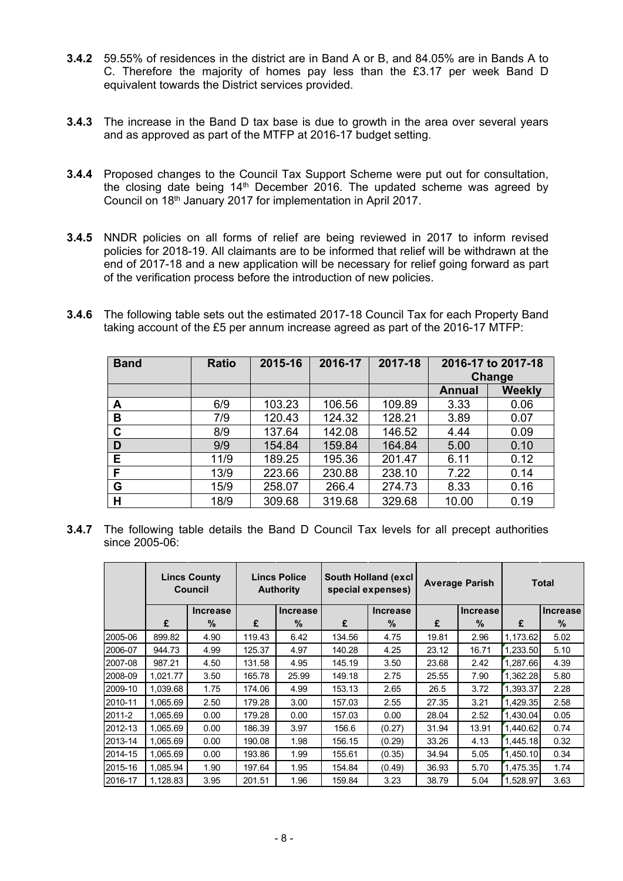- **3.4.2** 59.55% of residences in the district are in Band A or B, and 84.05% are in Bands A to C. Therefore the majority of homes pay less than the £3.17 per week Band D equivalent towards the District services provided.
- **3.4.3** The increase in the Band D tax base is due to growth in the area over several years and as approved as part of the MTFP at 2016-17 budget setting.
- **3.4.4** Proposed changes to the Council Tax Support Scheme were put out for consultation, the closing date being 14<sup>th</sup> December 2016. The updated scheme was agreed by Council on 18th January 2017 for implementation in April 2017.
- **3.4.5** NNDR policies on all forms of relief are being reviewed in 2017 to inform revised policies for 2018-19. All claimants are to be informed that relief will be withdrawn at the end of 2017-18 and a new application will be necessary for relief going forward as part of the verification process before the introduction of new policies.
- **3.4.6** The following table sets out the estimated 2017-18 Council Tax for each Property Band taking account of the £5 per annum increase agreed as part of the 2016-17 MTFP:

| <b>Band</b> | <b>Ratio</b> | 2015-16 | 2016-17 | 2017-18 | 2016-17 to 2017-18 |        |
|-------------|--------------|---------|---------|---------|--------------------|--------|
|             |              |         |         |         |                    | Change |
|             |              |         |         |         | <b>Annual</b>      | Weekly |
| A           | 6/9          | 103.23  | 106.56  | 109.89  | 3.33               | 0.06   |
| B           | 7/9          | 120.43  | 124.32  | 128.21  | 3.89               | 0.07   |
| C           | 8/9          | 137.64  | 142.08  | 146.52  | 4.44               | 0.09   |
| D           | 9/9          | 154.84  | 159.84  | 164.84  | 5.00               | 0.10   |
| Е           | 11/9         | 189.25  | 195.36  | 201.47  | 6.11               | 0.12   |
| F           | 13/9         | 223.66  | 230.88  | 238.10  | 7.22               | 0.14   |
| G           | 15/9         | 258.07  | 266.4   | 274.73  | 8.33               | 0.16   |
| н           | 18/9         | 309.68  | 319.68  | 329.68  | 10.00              | 0.19   |

**3.4.7** The following table details the Band D Council Tax levels for all precept authorities since 2005-06:

|         | <b>Lincs County</b><br>Council |                 | <b>Lincs Police</b><br><b>Authority</b> |          |        | <b>Total</b><br><b>Average Parish</b> |       | <b>South Holland (excl</b><br>special expenses) |          |                 |  |  |
|---------|--------------------------------|-----------------|-----------------------------------------|----------|--------|---------------------------------------|-------|-------------------------------------------------|----------|-----------------|--|--|
|         |                                | <b>Increase</b> |                                         | Increase |        | <b>Increase</b>                       |       | <b>Increase</b>                                 |          | <b>Increase</b> |  |  |
|         | £                              | %               | £                                       | $\%$     | £      | $\%$                                  | £     | %                                               | £        | $\%$            |  |  |
| 2005-06 | 899.82                         | 4.90            | 119.43                                  | 6.42     | 134.56 | 4.75                                  | 19.81 | 2.96                                            | 1,173.62 | 5.02            |  |  |
| 2006-07 | 944.73                         | 4.99            | 125.37                                  | 4.97     | 140.28 | 4.25                                  | 23.12 | 16.71                                           | 1,233.50 | 5.10            |  |  |
| 2007-08 | 987.21                         | 4.50            | 131.58                                  | 4.95     | 145.19 | 3.50                                  | 23.68 | 2.42                                            | 1,287.66 | 4.39            |  |  |
| 2008-09 | 1.021.77                       | 3.50            | 165.78                                  | 25.99    | 149.18 | 2.75                                  | 25.55 | 7.90                                            | 1,362.28 | 5.80            |  |  |
| 2009-10 | 1.039.68                       | 1.75            | 174.06                                  | 4.99     | 153.13 | 2.65                                  | 26.5  | 3.72                                            | 1.393.37 | 2.28            |  |  |
| 2010-11 | 1.065.69                       | 2.50            | 179.28                                  | 3.00     | 157.03 | 2.55                                  | 27.35 | 3.21                                            | 1.429.35 | 2.58            |  |  |
| 2011-2  | 1,065.69                       | 0.00            | 179.28                                  | 0.00     | 157.03 | 0.00                                  | 28.04 | 2.52                                            | 1.430.04 | 0.05            |  |  |
| 2012-13 | 1,065.69                       | 0.00            | 186.39                                  | 3.97     | 156.6  | (0.27)                                | 31.94 | 13.91                                           | 1.440.62 | 0.74            |  |  |
| 2013-14 | 1,065.69                       | 0.00            | 190.08                                  | 1.98     | 156.15 | (0.29)                                | 33.26 | 4.13                                            | 1,445.18 | 0.32            |  |  |
| 2014-15 | 1,065.69                       | 0.00            | 193.86                                  | 1.99     | 155.61 | (0.35)                                | 34.94 | 5.05                                            | 1,450.10 | 0.34            |  |  |
| 2015-16 | 1,085.94                       | 1.90            | 197.64                                  | 1.95     | 154.84 | (0.49)                                | 36.93 | 5.70                                            | 1,475.35 | 1.74            |  |  |
| 2016-17 | 1,128.83                       | 3.95            | 201.51                                  | 1.96     | 159.84 | 3.23                                  | 38.79 | 5.04                                            | 1,528.97 | 3.63            |  |  |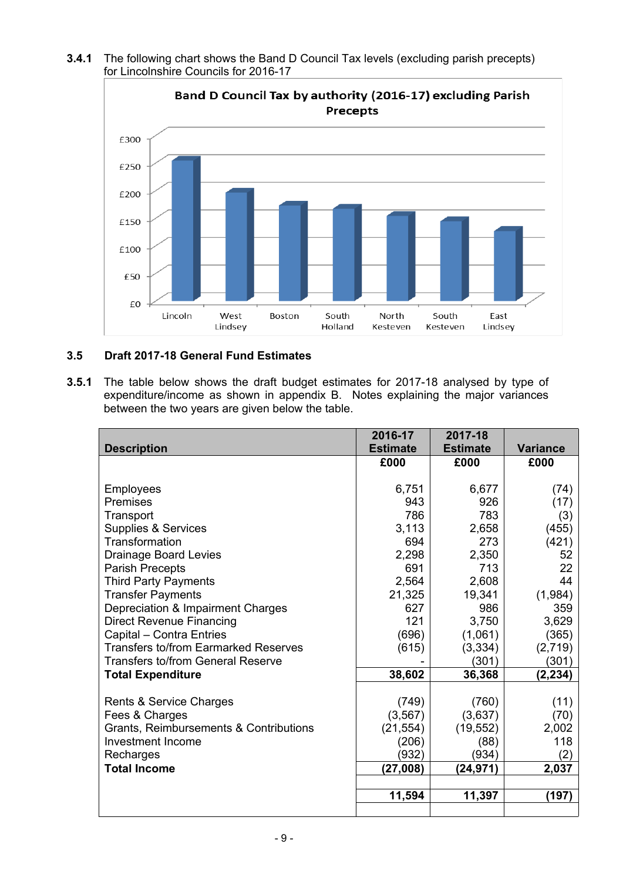**3.4.1** The following chart shows the Band D Council Tax levels (excluding parish precepts) for Lincolnshire Councils for 2016-17



## **3.5 Draft 2017-18 General Fund Estimates**

**3.5.1** The table below shows the draft budget estimates for 2017-18 analysed by type of expenditure/income as shown in appendix B. Notes explaining the major variances between the two years are given below the table.

|                                             | 2016-17         | 2017-18         |                 |
|---------------------------------------------|-----------------|-----------------|-----------------|
| <b>Description</b>                          | <b>Estimate</b> | <b>Estimate</b> | <b>Variance</b> |
|                                             | £000            | £000            | £000            |
|                                             |                 |                 |                 |
| Employees                                   | 6,751           | 6,677           | (74)            |
| Premises                                    | 943             | 926             | (17)            |
| Transport                                   | 786             | 783             | (3)             |
| Supplies & Services                         | 3,113           | 2,658           | (455)           |
| Transformation                              | 694             | 273             | (421)           |
| <b>Drainage Board Levies</b>                | 2,298           | 2,350           | 52              |
| <b>Parish Precepts</b>                      | 691             | 713             | 22              |
| <b>Third Party Payments</b>                 | 2,564           | 2,608           | 44              |
| <b>Transfer Payments</b>                    | 21,325          | 19,341          | (1,984)         |
| Depreciation & Impairment Charges           | 627             | 986             | 359             |
| <b>Direct Revenue Financing</b>             | 121             | 3,750           | 3,629           |
| Capital - Contra Entries                    | (696)           | (1,061)         | (365)           |
| <b>Transfers to/from Earmarked Reserves</b> | (615)           | (3, 334)        | (2,719)         |
| <b>Transfers to/from General Reserve</b>    |                 | (301)           | (301)           |
| <b>Total Expenditure</b>                    | 38,602          | 36,368          | (2, 234)        |
|                                             |                 |                 |                 |
| Rents & Service Charges                     | (749)           | (760)           | (11)            |
| Fees & Charges                              | (3, 567)        | (3,637)         | (70)            |
| Grants, Reimbursements & Contributions      | (21, 554)       | (19, 552)       | 2,002           |
| <b>Investment Income</b>                    | (206)           | (88)            | 118             |
| Recharges                                   | (932)           | (934)           | (2)             |
| <b>Total Income</b>                         | (27,008)        | (24,971)        | 2,037           |
|                                             |                 |                 |                 |
|                                             | 11,594          | 11,397          | (197)           |
|                                             |                 |                 |                 |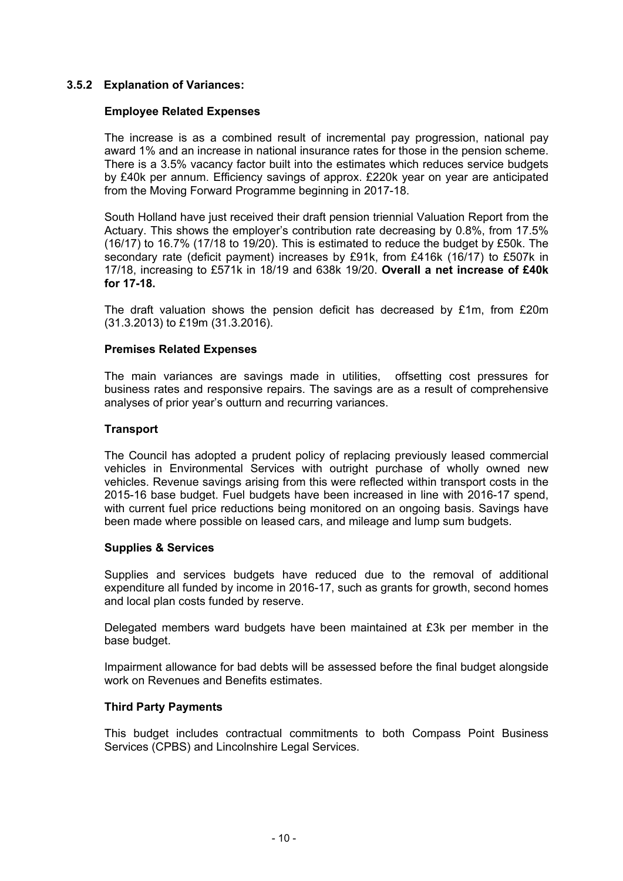## **3.5.2 Explanation of Variances:**

#### **Employee Related Expenses**

The increase is as a combined result of incremental pay progression, national pay award 1% and an increase in national insurance rates for those in the pension scheme. There is a 3.5% vacancy factor built into the estimates which reduces service budgets by £40k per annum. Efficiency savings of approx. £220k year on year are anticipated from the Moving Forward Programme beginning in 2017-18.

South Holland have just received their draft pension triennial Valuation Report from the Actuary. This shows the employer's contribution rate decreasing by 0.8%, from 17.5% (16/17) to 16.7% (17/18 to 19/20). This is estimated to reduce the budget by £50k. The secondary rate (deficit payment) increases by £91k, from £416k (16/17) to £507k in 17/18, increasing to £571k in 18/19 and 638k 19/20. **Overall a net increase of £40k for 17-18.**

The draft valuation shows the pension deficit has decreased by £1m, from £20m (31.3.2013) to £19m (31.3.2016).

#### **Premises Related Expenses**

The main variances are savings made in utilities, offsetting cost pressures for business rates and responsive repairs. The savings are as a result of comprehensive analyses of prior year's outturn and recurring variances.

#### **Transport**

The Council has adopted a prudent policy of replacing previously leased commercial vehicles in Environmental Services with outright purchase of wholly owned new vehicles. Revenue savings arising from this were reflected within transport costs in the 2015-16 base budget. Fuel budgets have been increased in line with 2016-17 spend, with current fuel price reductions being monitored on an ongoing basis. Savings have been made where possible on leased cars, and mileage and lump sum budgets.

#### **Supplies & Services**

Supplies and services budgets have reduced due to the removal of additional expenditure all funded by income in 2016-17, such as grants for growth, second homes and local plan costs funded by reserve.

Delegated members ward budgets have been maintained at £3k per member in the base budget.

Impairment allowance for bad debts will be assessed before the final budget alongside work on Revenues and Benefits estimates.

#### **Third Party Payments**

This budget includes contractual commitments to both Compass Point Business Services (CPBS) and Lincolnshire Legal Services.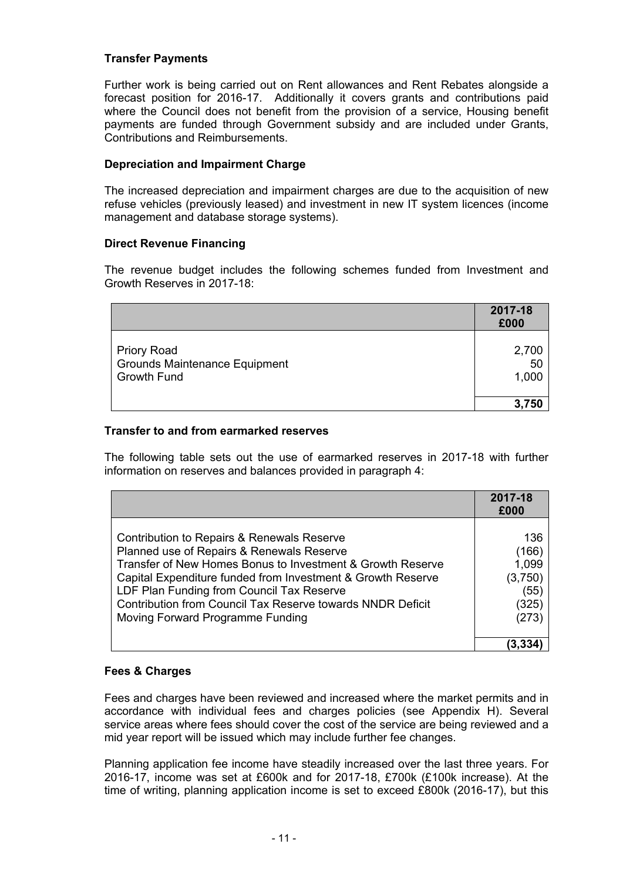## **Transfer Payments**

Further work is being carried out on Rent allowances and Rent Rebates alongside a forecast position for 2016-17. Additionally it covers grants and contributions paid where the Council does not benefit from the provision of a service, Housing benefit payments are funded through Government subsidy and are included under Grants, Contributions and Reimbursements.

## **Depreciation and Impairment Charge**

The increased depreciation and impairment charges are due to the acquisition of new refuse vehicles (previously leased) and investment in new IT system licences (income management and database storage systems).

## **Direct Revenue Financing**

The revenue budget includes the following schemes funded from Investment and Growth Reserves in 2017-18:

|                                                                                  | 2017-18<br>£000      |
|----------------------------------------------------------------------------------|----------------------|
| <b>Priory Road</b><br><b>Grounds Maintenance Equipment</b><br><b>Growth Fund</b> | 2,700<br>50<br>1,000 |
|                                                                                  | 3,750                |

## **Transfer to and from earmarked reserves**

The following table sets out the use of earmarked reserves in 2017-18 with further information on reserves and balances provided in paragraph 4:

|                                                                                                                                                                                                                                                                                                                                                                     | 2017-18<br>£000                                            |
|---------------------------------------------------------------------------------------------------------------------------------------------------------------------------------------------------------------------------------------------------------------------------------------------------------------------------------------------------------------------|------------------------------------------------------------|
| Contribution to Repairs & Renewals Reserve<br>Planned use of Repairs & Renewals Reserve<br>Transfer of New Homes Bonus to Investment & Growth Reserve<br>Capital Expenditure funded from Investment & Growth Reserve<br>LDF Plan Funding from Council Tax Reserve<br>Contribution from Council Tax Reserve towards NNDR Deficit<br>Moving Forward Programme Funding | 136<br>(166)<br>1,099<br>(3,750)<br>(55)<br>(325)<br>(273) |
|                                                                                                                                                                                                                                                                                                                                                                     |                                                            |

## **Fees & Charges**

Fees and charges have been reviewed and increased where the market permits and in accordance with individual fees and charges policies (see Appendix H). Several service areas where fees should cover the cost of the service are being reviewed and a mid year report will be issued which may include further fee changes.

Planning application fee income have steadily increased over the last three years. For 2016-17, income was set at £600k and for 2017-18, £700k (£100k increase). At the time of writing, planning application income is set to exceed £800k (2016-17), but this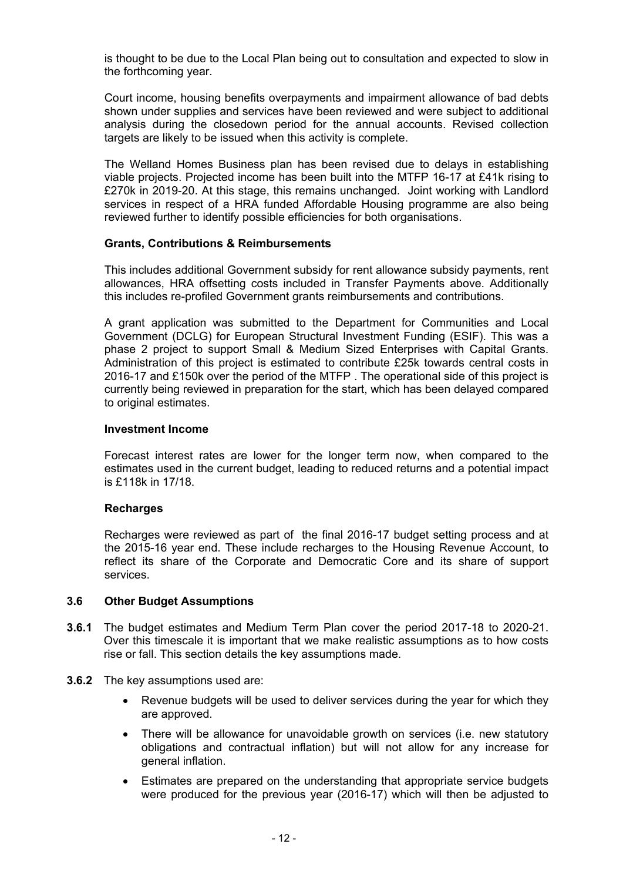is thought to be due to the Local Plan being out to consultation and expected to slow in the forthcoming year.

Court income, housing benefits overpayments and impairment allowance of bad debts shown under supplies and services have been reviewed and were subject to additional analysis during the closedown period for the annual accounts. Revised collection targets are likely to be issued when this activity is complete.

The Welland Homes Business plan has been revised due to delays in establishing viable projects. Projected income has been built into the MTFP 16-17 at £41k rising to £270k in 2019-20. At this stage, this remains unchanged. Joint working with Landlord services in respect of a HRA funded Affordable Housing programme are also being reviewed further to identify possible efficiencies for both organisations.

#### **Grants, Contributions & Reimbursements**

This includes additional Government subsidy for rent allowance subsidy payments, rent allowances, HRA offsetting costs included in Transfer Payments above. Additionally this includes re-profiled Government grants reimbursements and contributions.

A grant application was submitted to the Department for Communities and Local Government (DCLG) for European Structural Investment Funding (ESIF). This was a phase 2 project to support Small & Medium Sized Enterprises with Capital Grants. Administration of this project is estimated to contribute £25k towards central costs in 2016-17 and £150k over the period of the MTFP . The operational side of this project is currently being reviewed in preparation for the start, which has been delayed compared to original estimates.

#### **Investment Income**

Forecast interest rates are lower for the longer term now, when compared to the estimates used in the current budget, leading to reduced returns and a potential impact is £118k in 17/18.

## **Recharges**

Recharges were reviewed as part of the final 2016-17 budget setting process and at the 2015-16 year end. These include recharges to the Housing Revenue Account, to reflect its share of the Corporate and Democratic Core and its share of support services.

#### **3.6 Other Budget Assumptions**

- **3.6.1** The budget estimates and Medium Term Plan cover the period 2017-18 to 2020-21. Over this timescale it is important that we make realistic assumptions as to how costs rise or fall. This section details the key assumptions made.
- **3.6.2** The key assumptions used are:
	- Revenue budgets will be used to deliver services during the year for which they are approved.
	- There will be allowance for unavoidable growth on services (i.e. new statutory obligations and contractual inflation) but will not allow for any increase for general inflation.
	- Estimates are prepared on the understanding that appropriate service budgets were produced for the previous year (2016-17) which will then be adjusted to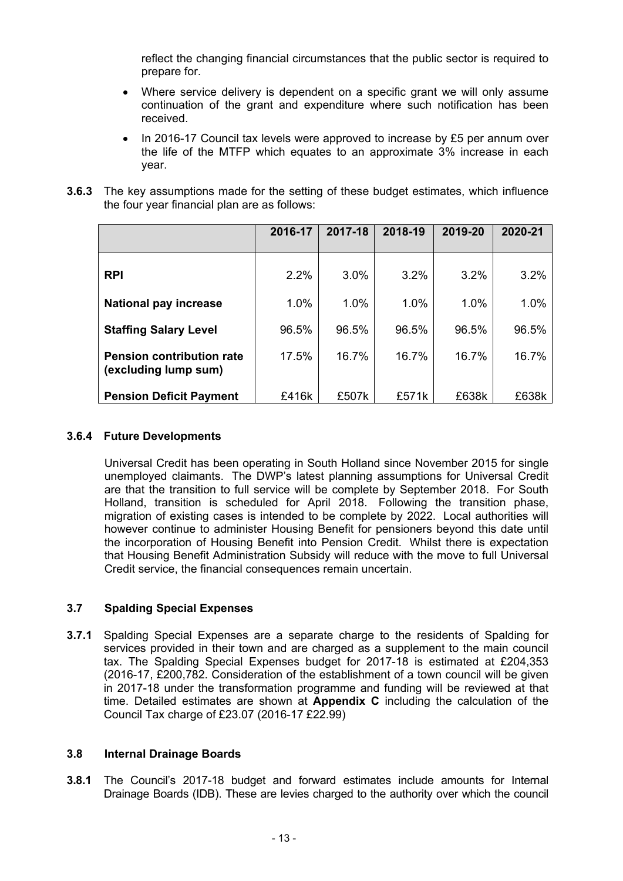reflect the changing financial circumstances that the public sector is required to prepare for.

- Where service delivery is dependent on a specific grant we will only assume continuation of the grant and expenditure where such notification has been received.
- In 2016-17 Council tax levels were approved to increase by £5 per annum over the life of the MTFP which equates to an approximate 3% increase in each year.
- **3.6.3** The key assumptions made for the setting of these budget estimates, which influence the four year financial plan are as follows:

|                                                          | 2016-17 | 2017-18 | 2018-19 | 2019-20 | 2020-21 |
|----------------------------------------------------------|---------|---------|---------|---------|---------|
| <b>RPI</b>                                               | $2.2\%$ | 3.0%    | 3.2%    | 3.2%    | 3.2%    |
| <b>National pay increase</b>                             | 1.0%    | 1.0%    | 1.0%    | 1.0%    | 1.0%    |
| <b>Staffing Salary Level</b>                             | 96.5%   | 96.5%   | 96.5%   | 96.5%   | 96.5%   |
| <b>Pension contribution rate</b><br>(excluding lump sum) | 17.5%   | 16.7%   | 16.7%   | 16.7%   | 16.7%   |
| <b>Pension Deficit Payment</b>                           | £416k   | £507k   | £571k   | £638k   | £638k   |

## **3.6.4 Future Developments**

Universal Credit has been operating in South Holland since November 2015 for single unemployed claimants. The DWP's latest planning assumptions for Universal Credit are that the transition to full service will be complete by September 2018. For South Holland, transition is scheduled for April 2018. Following the transition phase, migration of existing cases is intended to be complete by 2022. Local authorities will however continue to administer Housing Benefit for pensioners beyond this date until the incorporation of Housing Benefit into Pension Credit. Whilst there is expectation that Housing Benefit Administration Subsidy will reduce with the move to full Universal Credit service, the financial consequences remain uncertain.

## **3.7 Spalding Special Expenses**

**3.7.1** Spalding Special Expenses are a separate charge to the residents of Spalding for services provided in their town and are charged as a supplement to the main council tax. The Spalding Special Expenses budget for 2017-18 is estimated at £204,353 (2016-17, £200,782. Consideration of the establishment of a town council will be given in 2017-18 under the transformation programme and funding will be reviewed at that time. Detailed estimates are shown at **Appendix C** including the calculation of the Council Tax charge of £23.07 (2016-17 £22.99)

## **3.8 Internal Drainage Boards**

**3.8.1** The Council's 2017-18 budget and forward estimates include amounts for Internal Drainage Boards (IDB). These are levies charged to the authority over which the council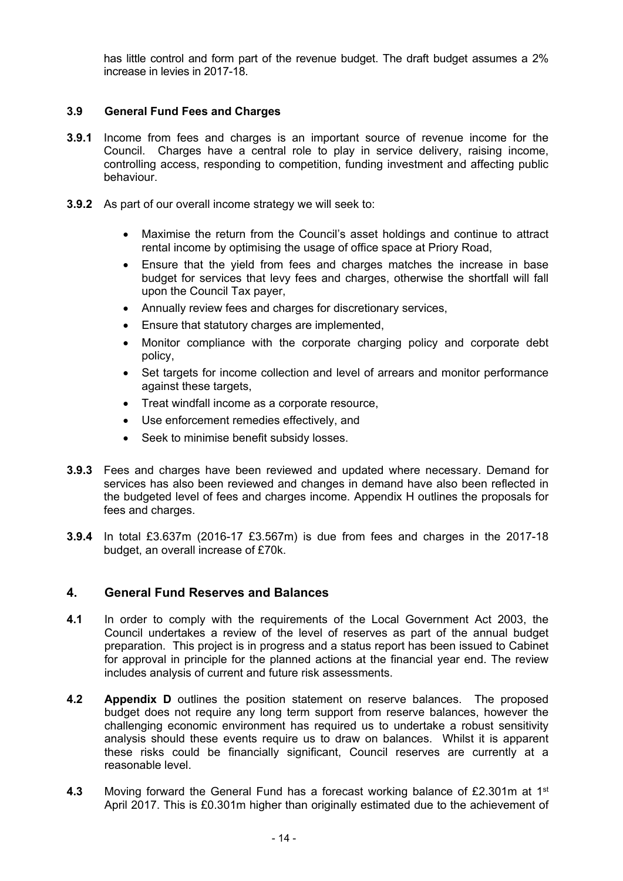has little control and form part of the revenue budget. The draft budget assumes a 2% increase in levies in 2017-18.

## **3.9 General Fund Fees and Charges**

- **3.9.1** Income from fees and charges is an important source of revenue income for the Council. Charges have a central role to play in service delivery, raising income, controlling access, responding to competition, funding investment and affecting public behaviour.
- **3.9.2** As part of our overall income strategy we will seek to:
	- Maximise the return from the Council's asset holdings and continue to attract rental income by optimising the usage of office space at Priory Road,
	- Ensure that the yield from fees and charges matches the increase in base budget for services that levy fees and charges, otherwise the shortfall will fall upon the Council Tax payer,
	- Annually review fees and charges for discretionary services,
	- Ensure that statutory charges are implemented,
	- Monitor compliance with the corporate charging policy and corporate debt policy,
	- Set targets for income collection and level of arrears and monitor performance against these targets,
	- Treat windfall income as a corporate resource,
	- Use enforcement remedies effectively, and
	- Seek to minimise benefit subsidy losses.
- **3.9.3** Fees and charges have been reviewed and updated where necessary. Demand for services has also been reviewed and changes in demand have also been reflected in the budgeted level of fees and charges income. Appendix H outlines the proposals for fees and charges.
- **3.9.4** In total £3.637m (2016-17 £3.567m) is due from fees and charges in the 2017-18 budget, an overall increase of £70k.

## **4. General Fund Reserves and Balances**

- **4.1** In order to comply with the requirements of the Local Government Act 2003, the Council undertakes a review of the level of reserves as part of the annual budget preparation. This project is in progress and a status report has been issued to Cabinet for approval in principle for the planned actions at the financial year end. The review includes analysis of current and future risk assessments.
- **4.2 Appendix D** outlines the position statement on reserve balances. The proposed budget does not require any long term support from reserve balances, however the challenging economic environment has required us to undertake a robust sensitivity analysis should these events require us to draw on balances. Whilst it is apparent these risks could be financially significant, Council reserves are currently at a reasonable level.
- 4.3 Moving forward the General Fund has a forecast working balance of £2.301m at 1<sup>st</sup> April 2017. This is £0.301m higher than originally estimated due to the achievement of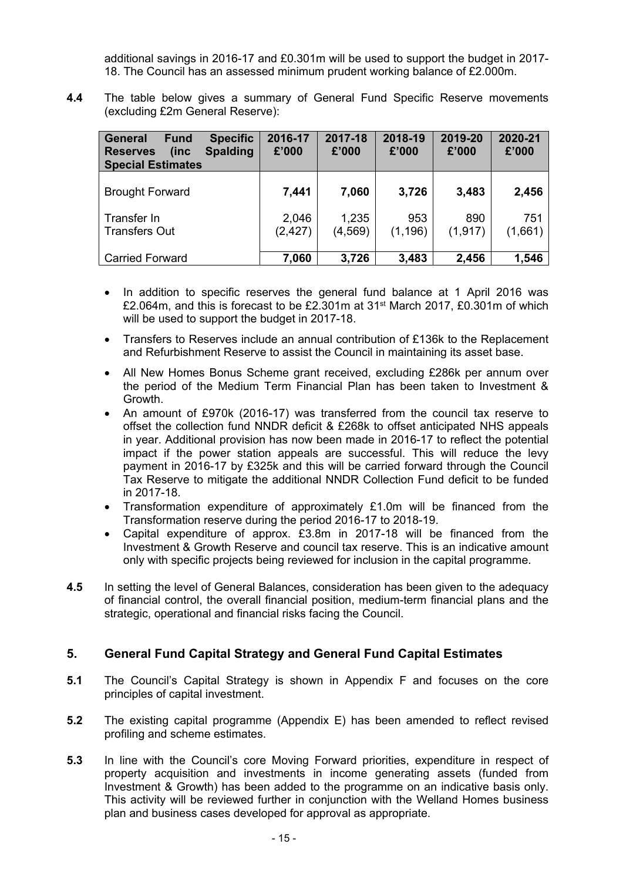additional savings in 2016-17 and £0.301m will be used to support the budget in 2017- 18. The Council has an assessed minimum prudent working balance of £2.000m.

**4.4** The table below gives a summary of General Fund Specific Reserve movements (excluding £2m General Reserve):

| <b>Specific</b><br>General<br><b>Fund</b><br><b>Spalding</b><br>(inc<br><b>Reserves</b><br><b>Special Estimates</b> | 2016-17<br>£'000  | 2017-18<br>£'000  | 2018-19<br>£'000 | 2019-20<br>£'000 | 2020-21<br>£'000 |
|---------------------------------------------------------------------------------------------------------------------|-------------------|-------------------|------------------|------------------|------------------|
| <b>Brought Forward</b>                                                                                              | 7,441             | 7,060             | 3,726            | 3,483            | 2,456            |
| Transfer In<br><b>Transfers Out</b>                                                                                 | 2,046<br>(2, 427) | 1,235<br>(4, 569) | 953<br>(1, 196)  | 890<br>(1, 917)  | 751<br>(1,661)   |
| <b>Carried Forward</b>                                                                                              | 7,060             | 3,726             | 3,483            | 2,456            | 1,546            |

- In addition to specific reserves the general fund balance at 1 April 2016 was £2.064m, and this is forecast to be £2.301m at  $31<sup>st</sup>$  March 2017, £0.301m of which will be used to support the budget in 2017-18.
- Transfers to Reserves include an annual contribution of £136k to the Replacement and Refurbishment Reserve to assist the Council in maintaining its asset base.
- All New Homes Bonus Scheme grant received, excluding £286k per annum over the period of the Medium Term Financial Plan has been taken to Investment & Growth.
- An amount of £970k (2016-17) was transferred from the council tax reserve to offset the collection fund NNDR deficit & £268k to offset anticipated NHS appeals in year. Additional provision has now been made in 2016-17 to reflect the potential impact if the power station appeals are successful. This will reduce the levy payment in 2016-17 by £325k and this will be carried forward through the Council Tax Reserve to mitigate the additional NNDR Collection Fund deficit to be funded in 2017-18.
- Transformation expenditure of approximately £1.0m will be financed from the Transformation reserve during the period 2016-17 to 2018-19.
- Capital expenditure of approx. £3.8m in 2017-18 will be financed from the Investment & Growth Reserve and council tax reserve. This is an indicative amount only with specific projects being reviewed for inclusion in the capital programme.
- **4.5** In setting the level of General Balances, consideration has been given to the adequacy of financial control, the overall financial position, medium-term financial plans and the strategic, operational and financial risks facing the Council.

## **5. General Fund Capital Strategy and General Fund Capital Estimates**

- **5.1** The Council's Capital Strategy is shown in Appendix F and focuses on the core principles of capital investment.
- **5.2** The existing capital programme (Appendix E) has been amended to reflect revised profiling and scheme estimates.
- **5.3** In line with the Council's core Moving Forward priorities, expenditure in respect of property acquisition and investments in income generating assets (funded from Investment & Growth) has been added to the programme on an indicative basis only. This activity will be reviewed further in conjunction with the Welland Homes business plan and business cases developed for approval as appropriate.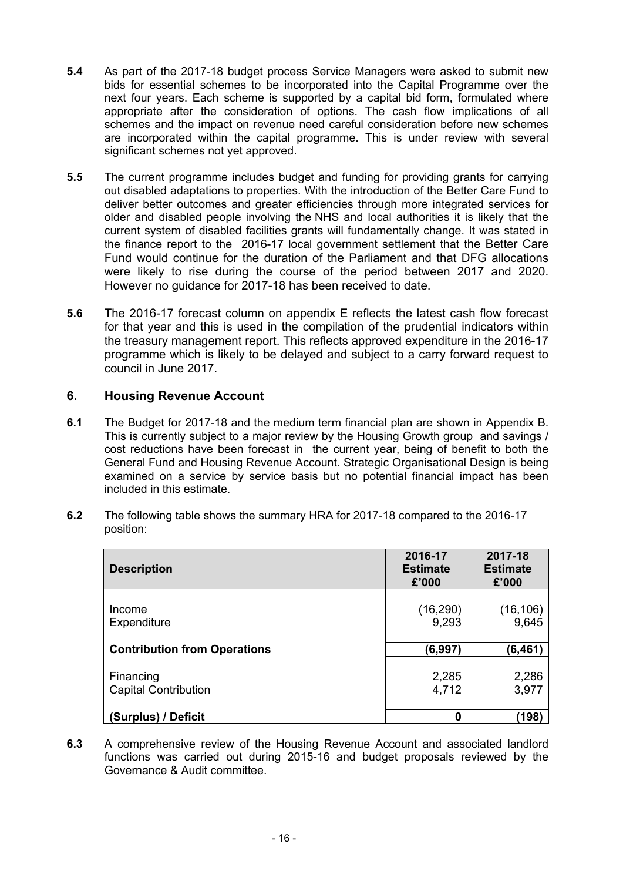- **5.4** As part of the 2017-18 budget process Service Managers were asked to submit new bids for essential schemes to be incorporated into the Capital Programme over the next four years. Each scheme is supported by a capital bid form, formulated where appropriate after the consideration of options. The cash flow implications of all schemes and the impact on revenue need careful consideration before new schemes are incorporated within the capital programme. This is under review with several significant schemes not yet approved.
- **5.5** The current programme includes budget and funding for providing grants for carrying out disabled adaptations to properties. With the introduction of the Better Care Fund to deliver better outcomes and greater efficiencies through more integrated services for older and disabled people involving the NHS and local authorities it is likely that the current system of disabled facilities grants will fundamentally change. It was stated in the finance report to the 2016-17 local government settlement that the Better Care Fund would continue for the duration of the Parliament and that DFG allocations were likely to rise during the course of the period between 2017 and 2020. However no guidance for 2017-18 has been received to date.
- **5.6** The 2016-17 forecast column on appendix E reflects the latest cash flow forecast for that year and this is used in the compilation of the prudential indicators within the treasury management report. This reflects approved expenditure in the 2016-17 programme which is likely to be delayed and subject to a carry forward request to council in June 2017.

# **6. Housing Revenue Account**

- **6.1** The Budget for 2017-18 and the medium term financial plan are shown in Appendix B. This is currently subject to a major review by the Housing Growth group and savings / cost reductions have been forecast in the current year, being of benefit to both the General Fund and Housing Revenue Account. Strategic Organisational Design is being examined on a service by service basis but no potential financial impact has been included in this estimate.
- **6.2** The following table shows the summary HRA for 2017-18 compared to the 2016-17 position:

| <b>Description</b>                       | 2016-17<br><b>Estimate</b><br>£'000 | 2017-18<br><b>Estimate</b><br>£'000 |
|------------------------------------------|-------------------------------------|-------------------------------------|
| Income<br>Expenditure                    | (16, 290)<br>9,293                  | (16, 106)<br>9,645                  |
| <b>Contribution from Operations</b>      | (6, 997)                            | (6, 461)                            |
| Financing<br><b>Capital Contribution</b> | 2,285<br>4,712                      | 2,286<br>3,977                      |
| (Surplus) / Deficit                      | 0                                   | (198)                               |

**6.3** A comprehensive review of the Housing Revenue Account and associated landlord functions was carried out during 2015-16 and budget proposals reviewed by the Governance & Audit committee.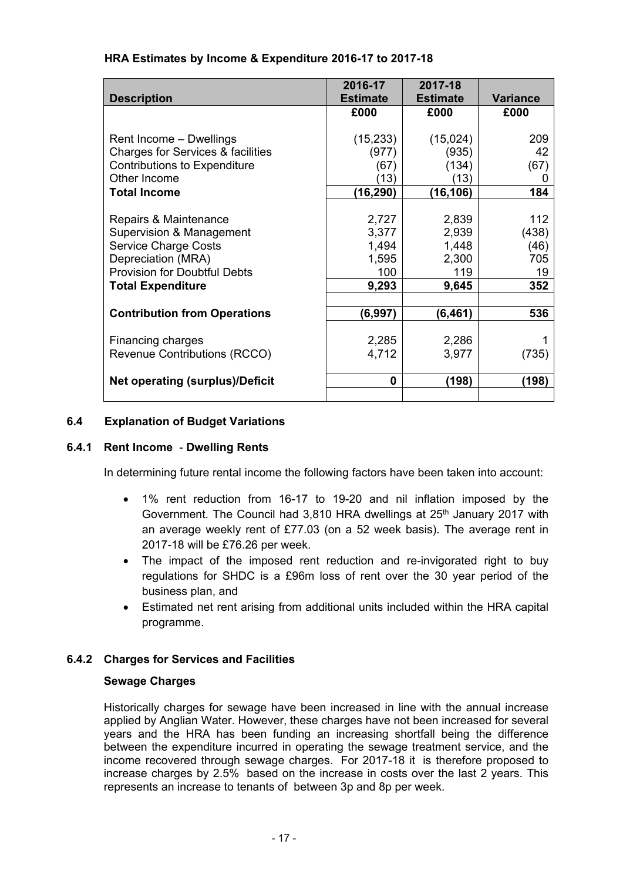| <b>Description</b>                                                                                                                                                        | 2016-17<br><b>Estimate</b>                       | 2017-18<br><b>Estimate</b>                       | <b>Variance</b>                          |
|---------------------------------------------------------------------------------------------------------------------------------------------------------------------------|--------------------------------------------------|--------------------------------------------------|------------------------------------------|
|                                                                                                                                                                           | £000                                             | £000                                             | £000                                     |
| Rent Income - Dwellings<br>Charges for Services & facilities<br><b>Contributions to Expenditure</b><br>Other Income<br><b>Total Income</b>                                | (15, 233)<br>(977)<br>(67)<br>(13)<br>(16,290)   | (15,024)<br>(935)<br>(134)<br>(13)<br>(16, 106)  | 209<br>42<br>(67)<br>O<br>184            |
| Repairs & Maintenance<br>Supervision & Management<br><b>Service Charge Costs</b><br>Depreciation (MRA)<br><b>Provision for Doubtful Debts</b><br><b>Total Expenditure</b> | 2,727<br>3,377<br>1,494<br>1,595<br>100<br>9,293 | 2,839<br>2,939<br>1,448<br>2,300<br>119<br>9,645 | 112<br>(438)<br>(46)<br>705<br>19<br>352 |
| <b>Contribution from Operations</b>                                                                                                                                       | (6,997)                                          | (6, 461)                                         | 536                                      |
| Financing charges<br>Revenue Contributions (RCCO)                                                                                                                         | 2,285<br>4,712                                   | 2,286<br>3,977                                   | (735)                                    |
| <b>Net operating (surplus)/Deficit</b>                                                                                                                                    | 0                                                | (198)                                            | (198)                                    |

## **6.4 Explanation of Budget Variations**

## **6.4.1 Rent Income** - **Dwelling Rents**

In determining future rental income the following factors have been taken into account:

- 1% rent reduction from 16-17 to 19-20 and nil inflation imposed by the Government. The Council had 3,810 HRA dwellings at 25<sup>th</sup> January 2017 with an average weekly rent of £77.03 (on a 52 week basis). The average rent in 2017-18 will be £76.26 per week.
- The impact of the imposed rent reduction and re-invigorated right to buy regulations for SHDC is a £96m loss of rent over the 30 year period of the business plan, and
- Estimated net rent arising from additional units included within the HRA capital programme.

## **6.4.2 Charges for Services and Facilities**

## **Sewage Charges**

Historically charges for sewage have been increased in line with the annual increase applied by Anglian Water. However, these charges have not been increased for several years and the HRA has been funding an increasing shortfall being the difference between the expenditure incurred in operating the sewage treatment service, and the income recovered through sewage charges. For 2017-18 it is therefore proposed to increase charges by 2.5% based on the increase in costs over the last 2 years. This represents an increase to tenants of between 3p and 8p per week.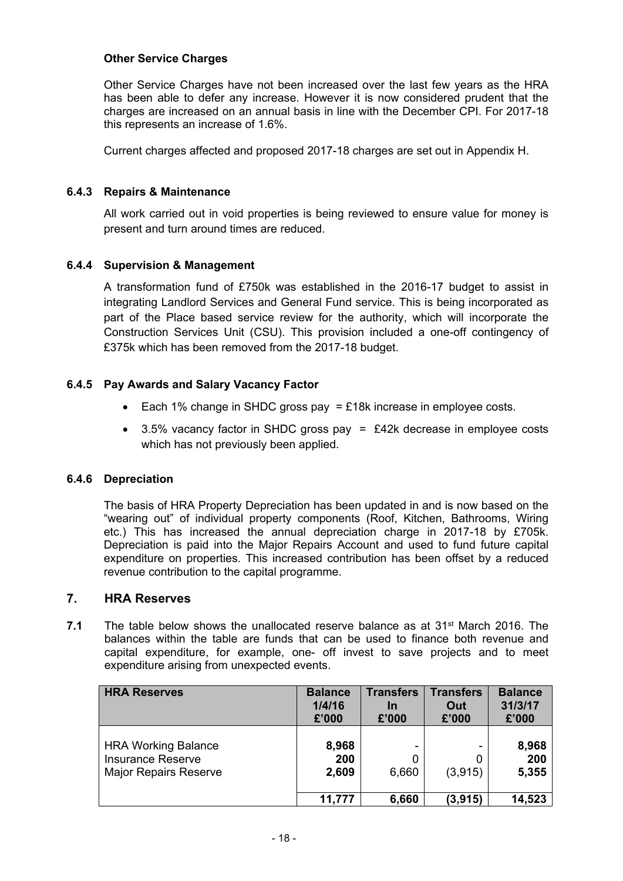## **Other Service Charges**

Other Service Charges have not been increased over the last few years as the HRA has been able to defer any increase. However it is now considered prudent that the charges are increased on an annual basis in line with the December CPI. For 2017-18 this represents an increase of 1.6%.

Current charges affected and proposed 2017-18 charges are set out in Appendix H.

## **6.4.3 Repairs & Maintenance**

All work carried out in void properties is being reviewed to ensure value for money is present and turn around times are reduced.

## **6.4.4 Supervision & Management**

A transformation fund of £750k was established in the 2016-17 budget to assist in integrating Landlord Services and General Fund service. This is being incorporated as part of the Place based service review for the authority, which will incorporate the Construction Services Unit (CSU). This provision included a one-off contingency of £375k which has been removed from the 2017-18 budget.

## **6.4.5 Pay Awards and Salary Vacancy Factor**

- Each 1% change in SHDC gross pay  $= \pounds 18k$  increase in employee costs.
- $\bullet$  3.5% vacancy factor in SHDC gross pay = £42k decrease in employee costs which has not previously been applied.

## **6.4.6 Depreciation**

The basis of HRA Property Depreciation has been updated in and is now based on the "wearing out" of individual property components (Roof, Kitchen, Bathrooms, Wiring etc.) This has increased the annual depreciation charge in 2017-18 by £705k. Depreciation is paid into the Major Repairs Account and used to fund future capital expenditure on properties. This increased contribution has been offset by a reduced revenue contribution to the capital programme.

## **7. HRA Reserves**

**7.1** The table below shows the unallocated reserve balance as at 31st March 2016. The balances within the table are funds that can be used to finance both revenue and capital expenditure, for example, one- off invest to save projects and to meet expenditure arising from unexpected events.

| <b>HRA Reserves</b>                                                                    | <b>Balance</b><br>1/4/16<br>£'000 | <b>Transfers</b><br>In<br>£'000 | <b>Transfers</b><br>Out<br>£'000 | <b>Balance</b><br>31/3/17<br>£'000 |
|----------------------------------------------------------------------------------------|-----------------------------------|---------------------------------|----------------------------------|------------------------------------|
| <b>HRA Working Balance</b><br><b>Insurance Reserve</b><br><b>Major Repairs Reserve</b> | 8,968<br>200<br>2,609             | 0<br>6,660                      | (3,915)                          | 8,968<br>200<br>5,355              |
|                                                                                        | 11,777                            | 6,660                           | (3, 915)                         | 14,523                             |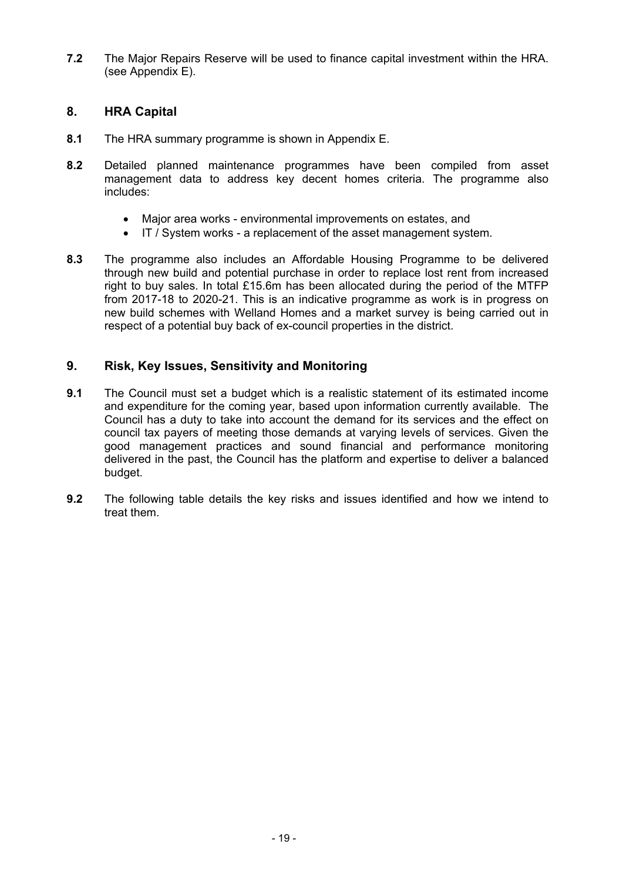**7.2** The Major Repairs Reserve will be used to finance capital investment within the HRA. (see Appendix E).

# **8. HRA Capital**

- **8.1** The HRA summary programme is shown in Appendix E.
- **8.2** Detailed planned maintenance programmes have been compiled from asset management data to address key decent homes criteria. The programme also includes:
	- Major area works environmental improvements on estates, and
	- IT / System works a replacement of the asset management system.
- **8.3** The programme also includes an Affordable Housing Programme to be delivered through new build and potential purchase in order to replace lost rent from increased right to buy sales. In total £15.6m has been allocated during the period of the MTFP from 2017-18 to 2020-21. This is an indicative programme as work is in progress on new build schemes with Welland Homes and a market survey is being carried out in respect of a potential buy back of ex-council properties in the district.

# **9. Risk, Key Issues, Sensitivity and Monitoring**

- **9.1** The Council must set a budget which is a realistic statement of its estimated income and expenditure for the coming year, based upon information currently available. The Council has a duty to take into account the demand for its services and the effect on council tax payers of meeting those demands at varying levels of services. Given the good management practices and sound financial and performance monitoring delivered in the past, the Council has the platform and expertise to deliver a balanced budget.
- **9.2** The following table details the key risks and issues identified and how we intend to treat them.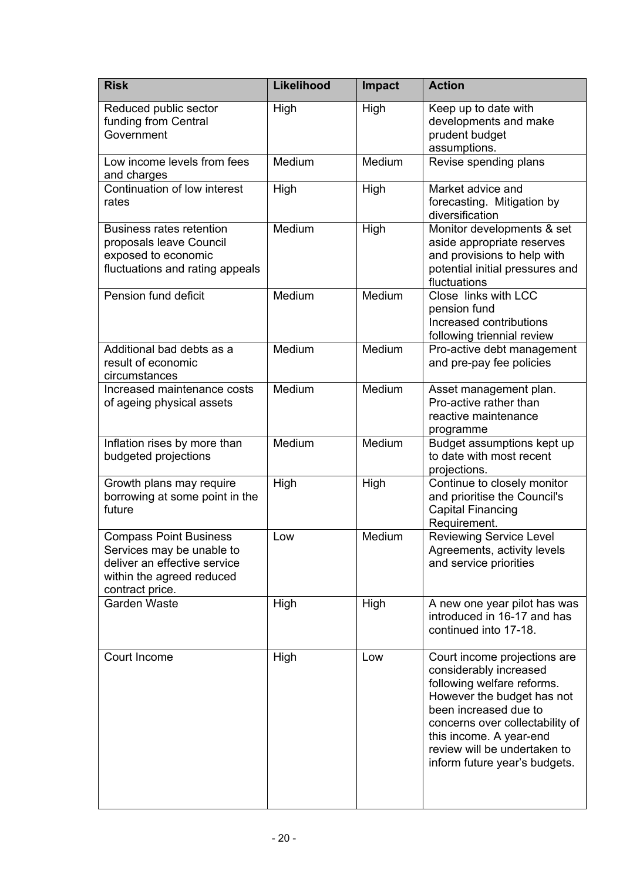| <b>Risk</b>                                                                                                                                | Likelihood | <b>Impact</b> | <b>Action</b>                                                                                                                                                                                                                                                              |
|--------------------------------------------------------------------------------------------------------------------------------------------|------------|---------------|----------------------------------------------------------------------------------------------------------------------------------------------------------------------------------------------------------------------------------------------------------------------------|
| Reduced public sector<br>funding from Central<br>Government                                                                                | High       | High          | Keep up to date with<br>developments and make<br>prudent budget<br>assumptions.                                                                                                                                                                                            |
| Low income levels from fees<br>and charges                                                                                                 | Medium     | Medium        | Revise spending plans                                                                                                                                                                                                                                                      |
| Continuation of low interest<br>rates                                                                                                      | High       | High          | Market advice and<br>forecasting. Mitigation by<br>diversification                                                                                                                                                                                                         |
| <b>Business rates retention</b><br>proposals leave Council<br>exposed to economic<br>fluctuations and rating appeals                       | Medium     | High          | Monitor developments & set<br>aside appropriate reserves<br>and provisions to help with<br>potential initial pressures and<br>fluctuations                                                                                                                                 |
| Pension fund deficit                                                                                                                       | Medium     | Medium        | Close links with LCC<br>pension fund<br>Increased contributions<br>following triennial review                                                                                                                                                                              |
| Additional bad debts as a<br>result of economic<br>circumstances                                                                           | Medium     | Medium        | Pro-active debt management<br>and pre-pay fee policies                                                                                                                                                                                                                     |
| Increased maintenance costs<br>of ageing physical assets                                                                                   | Medium     | Medium        | Asset management plan.<br>Pro-active rather than<br>reactive maintenance<br>programme                                                                                                                                                                                      |
| Inflation rises by more than<br>budgeted projections                                                                                       | Medium     | Medium        | Budget assumptions kept up<br>to date with most recent<br>projections.                                                                                                                                                                                                     |
| Growth plans may require<br>borrowing at some point in the<br>future                                                                       | High       | High          | Continue to closely monitor<br>and prioritise the Council's<br><b>Capital Financing</b><br>Requirement.                                                                                                                                                                    |
| <b>Compass Point Business</b><br>Services may be unable to<br>deliver an effective service<br>within the agreed reduced<br>contract price. | Low        | Medium        | <b>Reviewing Service Level</b><br>Agreements, activity levels<br>and service priorities                                                                                                                                                                                    |
| Garden Waste                                                                                                                               | High       | High          | A new one year pilot has was<br>introduced in 16-17 and has<br>continued into 17-18.                                                                                                                                                                                       |
| Court Income                                                                                                                               | High       | Low           | Court income projections are<br>considerably increased<br>following welfare reforms.<br>However the budget has not<br>been increased due to<br>concerns over collectability of<br>this income. A year-end<br>review will be undertaken to<br>inform future year's budgets. |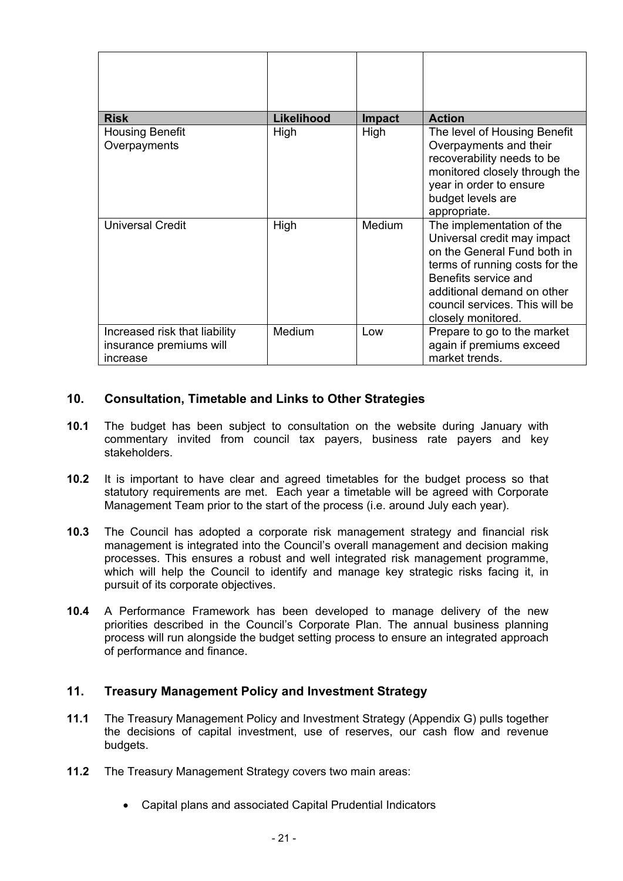| <b>Risk</b>                                                          | Likelihood | <b>Impact</b> | <b>Action</b>                                                                                                                                                                                                                           |
|----------------------------------------------------------------------|------------|---------------|-----------------------------------------------------------------------------------------------------------------------------------------------------------------------------------------------------------------------------------------|
| <b>Housing Benefit</b><br>Overpayments                               | High       | High          | The level of Housing Benefit<br>Overpayments and their<br>recoverability needs to be<br>monitored closely through the<br>year in order to ensure<br>budget levels are<br>appropriate.                                                   |
| Universal Credit                                                     | High       | <b>Medium</b> | The implementation of the<br>Universal credit may impact<br>on the General Fund both in<br>terms of running costs for the<br>Benefits service and<br>additional demand on other<br>council services. This will be<br>closely monitored. |
| Increased risk that liability<br>insurance premiums will<br>increase | Medium     | Low           | Prepare to go to the market<br>again if premiums exceed<br>market trends.                                                                                                                                                               |

# **10. Consultation, Timetable and Links to Other Strategies**

- **10.1** The budget has been subject to consultation on the website during January with commentary invited from council tax payers, business rate payers and key stakeholders.
- **10.2** It is important to have clear and agreed timetables for the budget process so that statutory requirements are met. Each year a timetable will be agreed with Corporate Management Team prior to the start of the process (i.e. around July each year).
- **10.3** The Council has adopted a corporate risk management strategy and financial risk management is integrated into the Council's overall management and decision making processes. This ensures a robust and well integrated risk management programme, which will help the Council to identify and manage key strategic risks facing it, in pursuit of its corporate objectives.
- **10.4** A Performance Framework has been developed to manage delivery of the new priorities described in the Council's Corporate Plan. The annual business planning process will run alongside the budget setting process to ensure an integrated approach of performance and finance.

## **11. Treasury Management Policy and Investment Strategy**

- **11.1** The Treasury Management Policy and Investment Strategy (Appendix G) pulls together the decisions of capital investment, use of reserves, our cash flow and revenue budgets.
- **11.2** The Treasury Management Strategy covers two main areas:
	- Capital plans and associated Capital Prudential Indicators